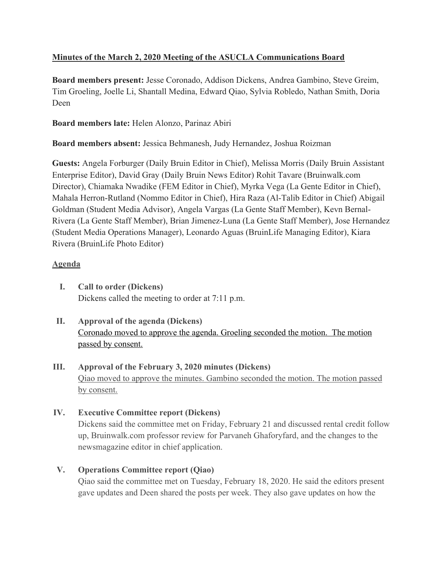# **Minutes of the March 2, 2020 Meeting of the ASUCLA Communications Board**

**Board members present:** Jesse Coronado, Addison Dickens, Andrea Gambino, Steve Greim, Tim Groeling, Joelle Li, Shantall Medina, Edward Qiao, Sylvia Robledo, Nathan Smith, Doria Deen

**Board members late:** Helen Alonzo, Parinaz Abiri

**Board members absent:** Jessica Behmanesh, Judy Hernandez, Joshua Roizman

**Guests:** Angela Forburger (Daily Bruin Editor in Chief), Melissa Morris (Daily Bruin Assistant Enterprise Editor), David Gray (Daily Bruin News Editor) Rohit Tavare (Bruinwalk.com Director), Chiamaka Nwadike (FEM Editor in Chief), Myrka Vega (La Gente Editor in Chief), Mahala Herron-Rutland (Nommo Editor in Chief), Hira Raza (Al-Talib Editor in Chief) Abigail Goldman (Student Media Advisor), Angela Vargas (La Gente Staff Member), Kevn Bernal-Rivera (La Gente Staff Member), Brian Jimenez-Luna (La Gente Staff Member), Jose Hernandez (Student Media Operations Manager), Leonardo Aguas (BruinLife Managing Editor), Kiara Rivera (BruinLife Photo Editor)

## **Agenda**

- **I. Call to order (Dickens)** Dickens called the meeting to order at 7:11 p.m.
- **II. Approval of the agenda (Dickens)** Coronado moved to approve the agenda. Groeling seconded the motion. The motion passed by consent.
- **III. Approval of the February 3, 2020 minutes (Dickens)** Qiao moved to approve the minutes. Gambino seconded the motion. The motion passed by consent.
- **IV. Executive Committee report (Dickens)** Dickens said the committee met on Friday, February 21 and discussed rental credit follow up, Bruinwalk.com professor review for Parvaneh Ghaforyfard, and the changes to the newsmagazine editor in chief application.

## **V. Operations Committee report (Qiao)**

Qiao said the committee met on Tuesday, February 18, 2020. He said the editors present gave updates and Deen shared the posts per week. They also gave updates on how the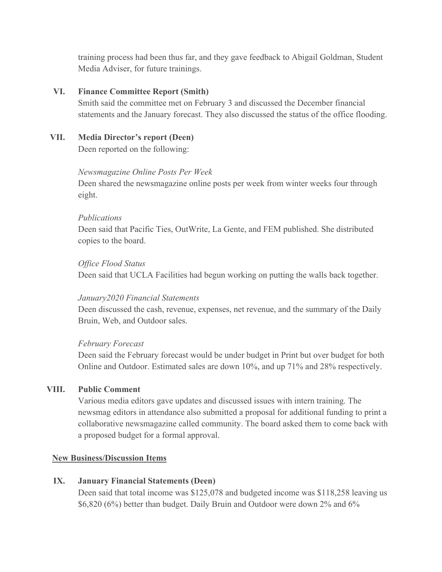training process had been thus far, and they gave feedback to Abigail Goldman, Student Media Adviser, for future trainings.

#### **VI. Finance Committee Report (Smith)**

Smith said the committee met on February 3 and discussed the December financial statements and the January forecast. They also discussed the status of the office flooding.

# **VII. Media Director's report (Deen)**

Deen reported on the following:

#### *Newsmagazine Online Posts Per Week*

Deen shared the newsmagazine online posts per week from winter weeks four through eight.

#### *Publications*

Deen said that Pacific Ties, OutWrite, La Gente, and FEM published. She distributed copies to the board.

#### *Office Flood Status*

Deen said that UCLA Facilities had begun working on putting the walls back together.

#### *January2020 Financial Statements*

Deen discussed the cash, revenue, expenses, net revenue, and the summary of the Daily Bruin, Web, and Outdoor sales.

## *February Forecast*

Deen said the February forecast would be under budget in Print but over budget for both Online and Outdoor. Estimated sales are down 10%, and up 71% and 28% respectively.

## **VIII. Public Comment**

Various media editors gave updates and discussed issues with intern training. The newsmag editors in attendance also submitted a proposal for additional funding to print a collaborative newsmagazine called community. The board asked them to come back with a proposed budget for a formal approval.

## **New Business/Discussion Items**

## **IX. January Financial Statements (Deen)**

Deen said that total income was \$125,078 and budgeted income was \$118,258 leaving us \$6,820 (6%) better than budget. Daily Bruin and Outdoor were down 2% and 6%